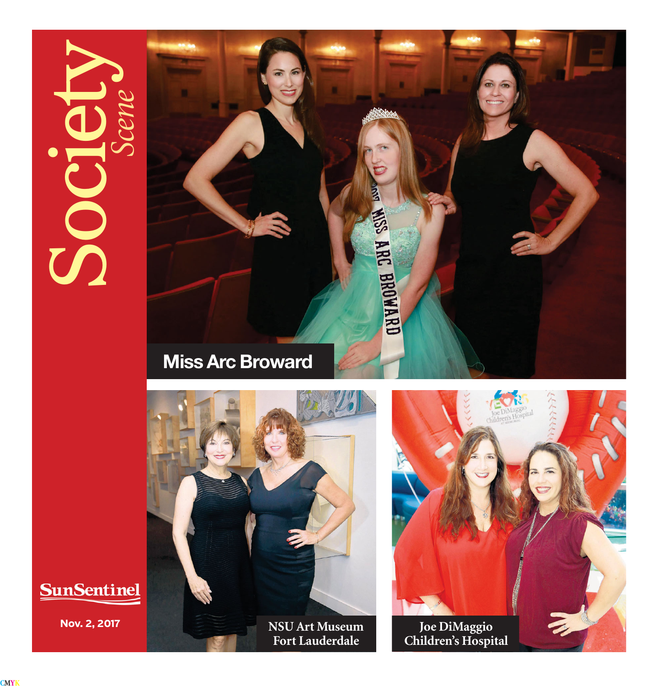## $\mathcal{S}$







**SunSentinel** 

**Fort Lauderdale**